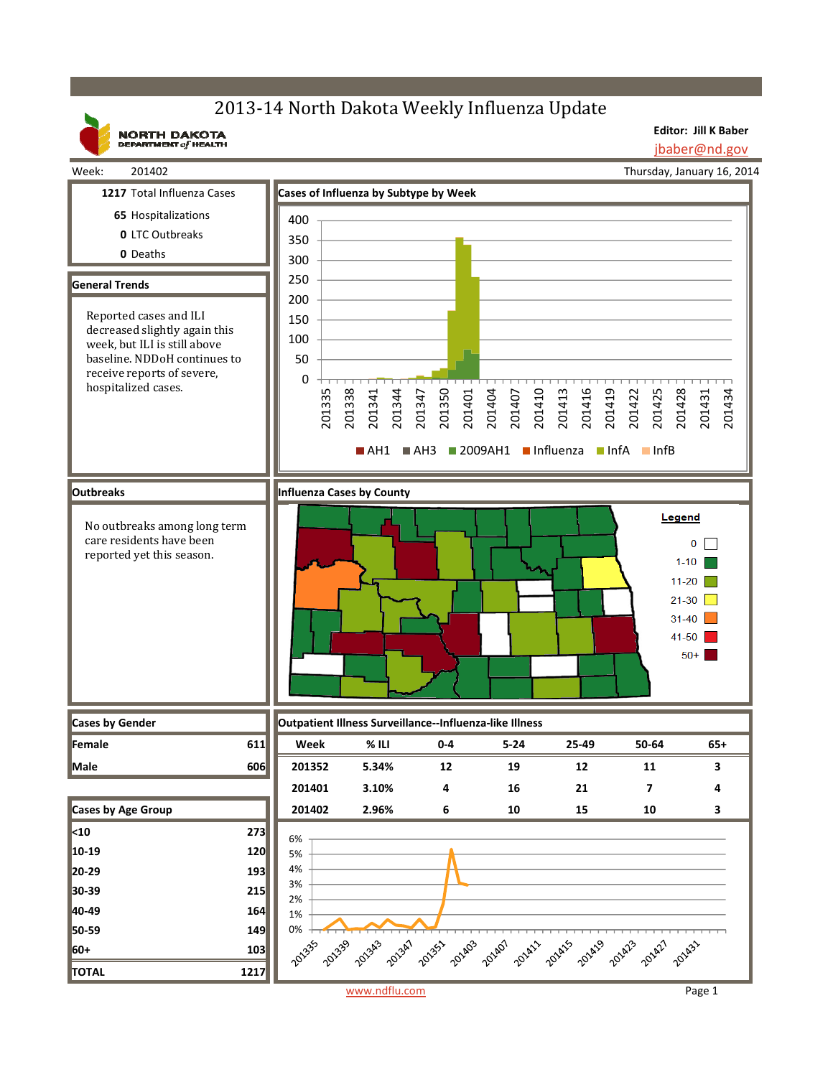# 2013-14 North Dakota Weekly Influenza Update

**NORTH DAKOTA**<br>DEPARTMENT of HEALTH

**Editor: Jill K Baber** jbaber@nd.gov